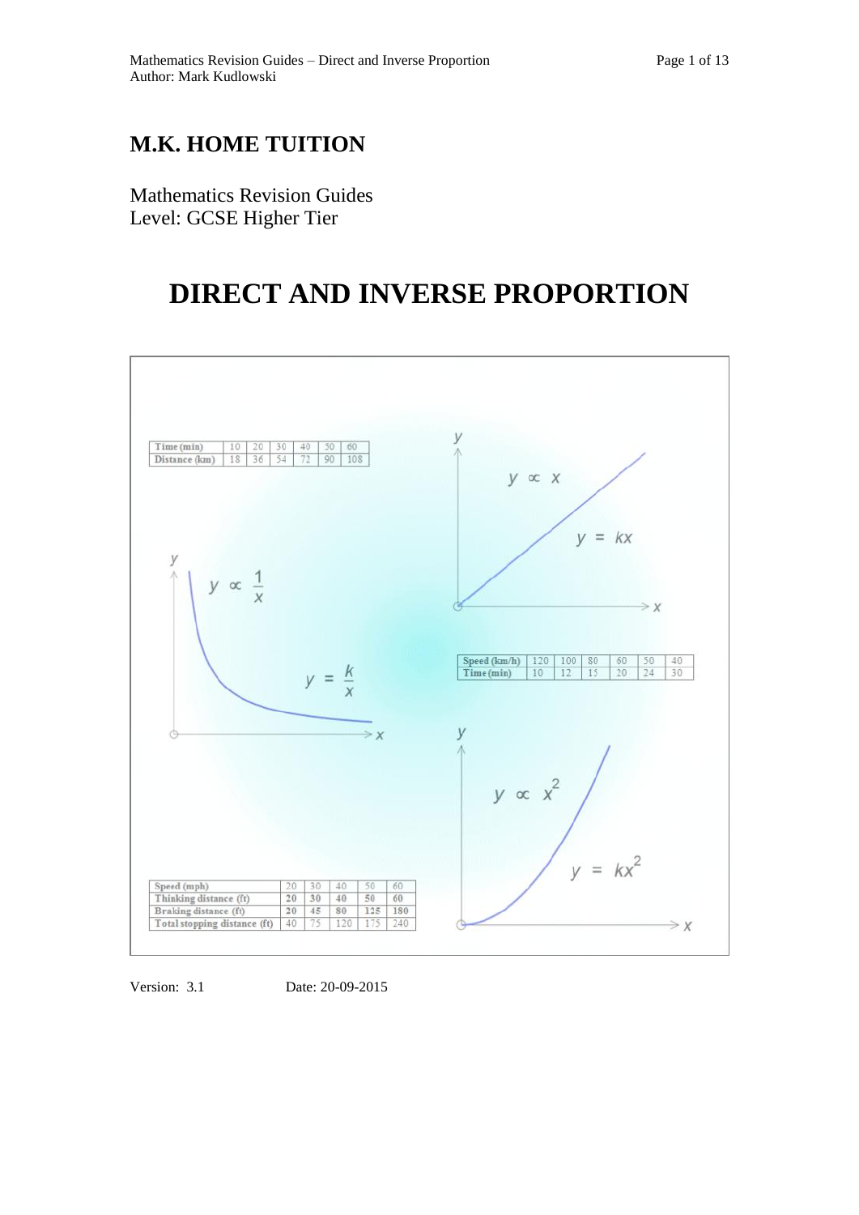## **M.K. HOME TUITION**

Mathematics Revision Guides Level: GCSE Higher Tier

# **DIRECT AND INVERSE PROPORTION**



Version: 3.1 Date: 20-09-2015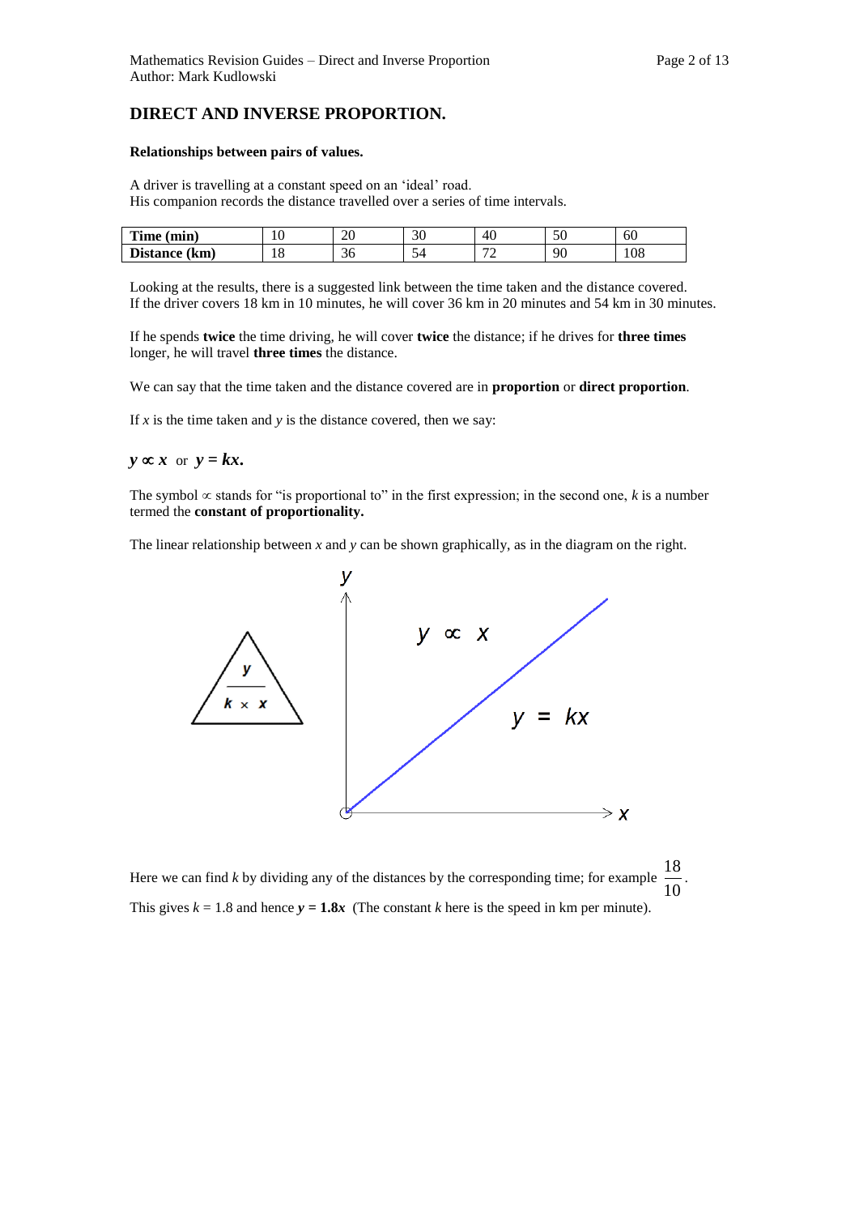### **DIRECT AND INVERSE PROPORTION.**

#### **Relationships between pairs of values.**

A driver is travelling at a constant speed on an 'ideal' road. His companion records the distance travelled over a series of time intervals.

| Time<br>$(\min)$       | $\epsilon$<br>ΙV | $\Delta$<br>∠∪ | ാറ<br>ЭU | 40                            | ◡              | یں<br>σU |
|------------------------|------------------|----------------|----------|-------------------------------|----------------|----------|
| m.<br>Distance<br>(km) | $\sqrt{2}$<br>*∿ | ◡◡             |          | $\overline{\phantom{a}}$<br>- | $\alpha$<br>٠. | 108      |

Looking at the results, there is a suggested link between the time taken and the distance covered. If the driver covers 18 km in 10 minutes, he will cover 36 km in 20 minutes and 54 km in 30 minutes.

If he spends **twice** the time driving, he will cover **twice** the distance; if he drives for **three times** longer, he will travel **three times** the distance.

We can say that the time taken and the distance covered are in **proportion** or **direct proportion**.

If  $x$  is the time taken and  $y$  is the distance covered, then we say:

 $y \propto x$  or  $y = kx$ .

The symbol  $\infty$  stands for "is proportional to" in the first expression; in the second one, *k* is a number termed the **constant of proportionality.**

The linear relationship between *x* and *y* can be shown graphically, as in the diagram on the right.



Here we can find *k* by dividing any of the distances by the corresponding time; for example 10 18 . This gives  $k = 1.8$  and hence  $y = 1.8x$  (The constant *k* here is the speed in km per minute).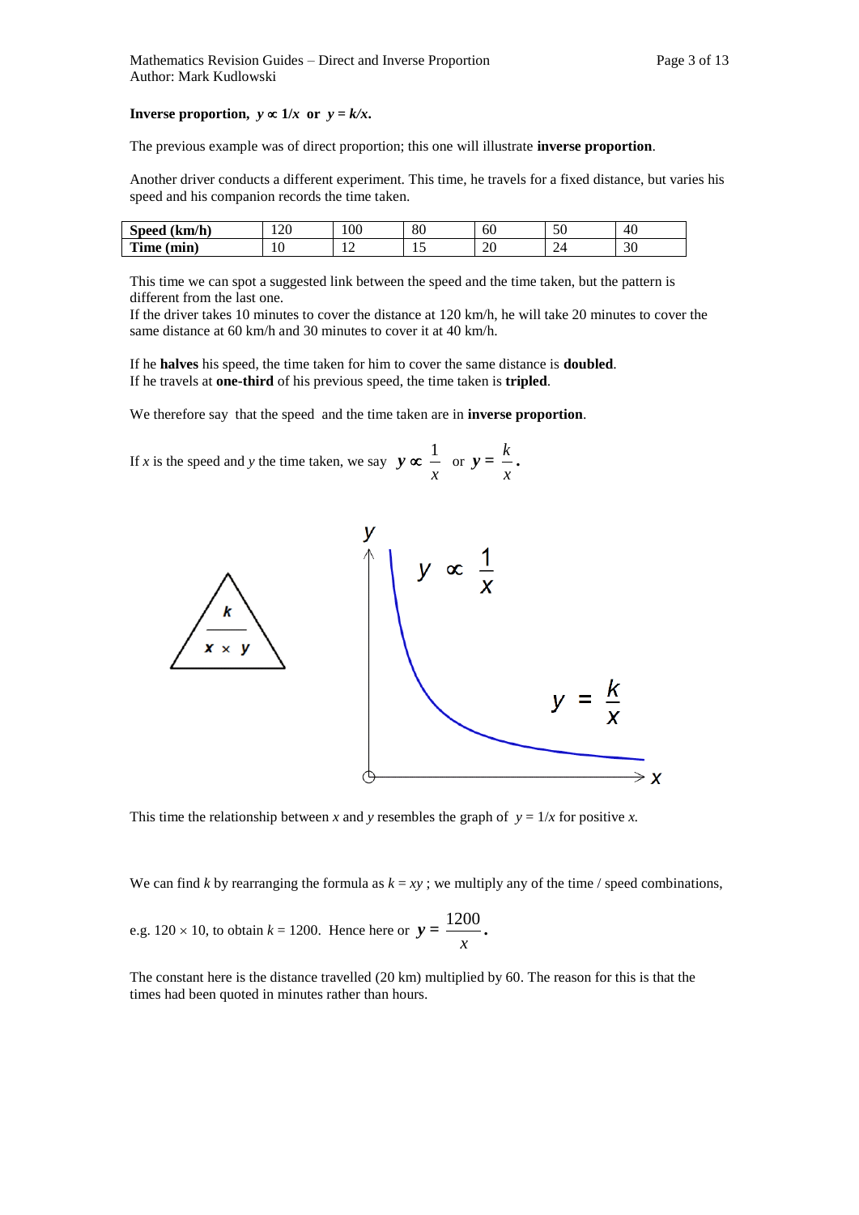#### **Inverse proportion,**  $y \propto 1/x$  or  $y = k/x$ .

The previous example was of direct proportion; this one will illustrate **inverse proportion**.

Another driver conducts a different experiment. This time, he travels for a fixed distance, but varies his speed and his companion records the time taken.

| (km/h)<br><b>Speed</b> | $\Omega$<br>1 Z.U | 100 | or<br>οv | 60                   | - 0<br>υc | 40 |
|------------------------|-------------------|-----|----------|----------------------|-----------|----|
| $-1$<br>Time (min)     | 10                | . . |          | $\Delta C$<br>$\sim$ | ∽<br>▱    | 30 |

This time we can spot a suggested link between the speed and the time taken, but the pattern is different from the last one.

If the driver takes 10 minutes to cover the distance at 120 km/h, he will take 20 minutes to cover the same distance at 60 km/h and 30 minutes to cover it at 40 km/h.

If he **halves** his speed, the time taken for him to cover the same distance is **doubled**. If he travels at **one-third** of his previous speed, the time taken is **tripled**.

We therefore say that the speed and the time taken are in **inverse proportion**.

If *x* is the speed and *y* the time taken, we say  $y \propto$ *x*  $\frac{1}{x}$  or  $y =$ *x k* **.** 



This time the relationship between *x* and *y* resembles the graph of  $y = 1/x$  for positive *x*.

We can find *k* by rearranging the formula as  $k = xy$ ; we multiply any of the time / speed combinations,

e.g. 
$$
120 \times 10
$$
, to obtain  $k = 1200$ . Hence here or  $y = \frac{1200}{x}$ .

The constant here is the distance travelled (20 km) multiplied by 60. The reason for this is that the times had been quoted in minutes rather than hours.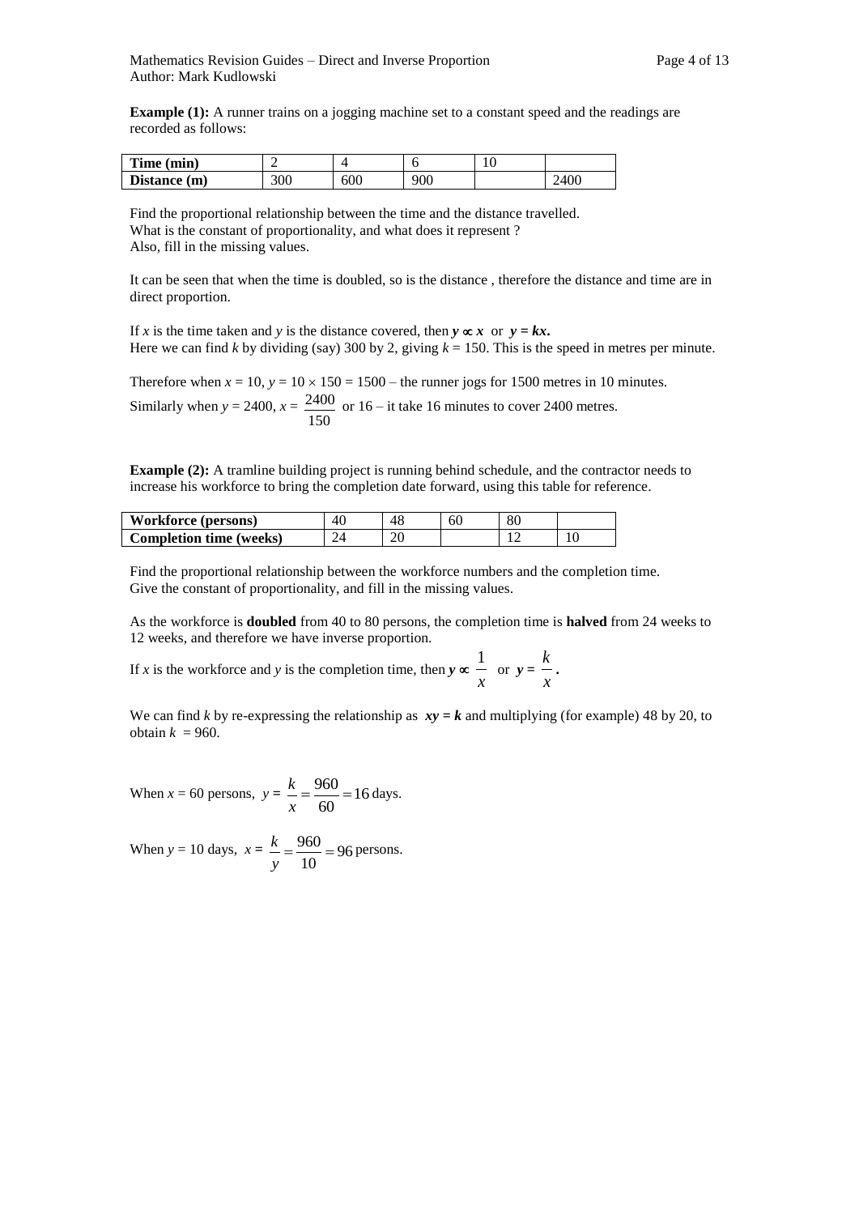**Example (1):** A runner trains on a jogging machine set to a constant speed and the readings are recorded as follows:

| m.<br>Time (min) |     |     |     | ⊥ ∪ |     |
|------------------|-----|-----|-----|-----|-----|
| Distance (m)     | 300 | 600 | 900 |     | 400 |

Find the proportional relationship between the time and the distance travelled. What is the constant of proportionality, and what does it represent? Also, fill in the missing values.

It can be seen that when the time is doubled, so is the distance , therefore the distance and time are in direct proportion.

If x is the time taken and y is the distance covered, then  $y \propto x$  or  $y = kx$ . Here we can find *k* by dividing (say) 300 by 2, giving  $k = 150$ . This is the speed in metres per minute.

Therefore when  $x = 10$ ,  $y = 10 \times 150 = 1500$  – the runner jogs for 1500 metres in 10 minutes. Similarly when  $y = 2400$ ,  $x =$ 150  $\frac{2400}{2400}$  or 16 – it take 16 minutes to cover 2400 metres.

**Example (2):** A tramline building project is running behind schedule, and the contractor needs to increase his workforce to bring the completion date forward, using this table for reference.

| <b>Workforce (persons)</b>     | 40 |    | 60 | 80 |  |
|--------------------------------|----|----|----|----|--|
| <b>Completion time (weeks)</b> |    | 20 |    |    |  |

Find the proportional relationship between the workforce numbers and the completion time. Give the constant of proportionality, and fill in the missing values.

As the workforce is **doubled** from 40 to 80 persons, the completion time is **halved** from 24 weeks to 12 weeks, and therefore we have inverse proportion.

If *x* is the workforce and *y* is the completion time, then  $y \propto$ *x*  $\frac{1}{x}$  or  $y =$ *x k* **.**

We can find *k* by re-expressing the relationship as  $xy = k$  and multiplying (for example) 48 by 20, to obtain  $k = 960$ .

When  $x = 60$  persons,  $y = \frac{k}{10} = \frac{360}{10} = 16$ 60  $=\frac{960}{10}=$ *x*  $\frac{k}{-} = \frac{960}{-} = 16$  days.

When  $y = 10$  days,  $x = \frac{k}{200} = 96$ 10  $=\frac{960}{10}=$ *y*  $\frac{k}{p} = \frac{960}{p} = 96$  persons.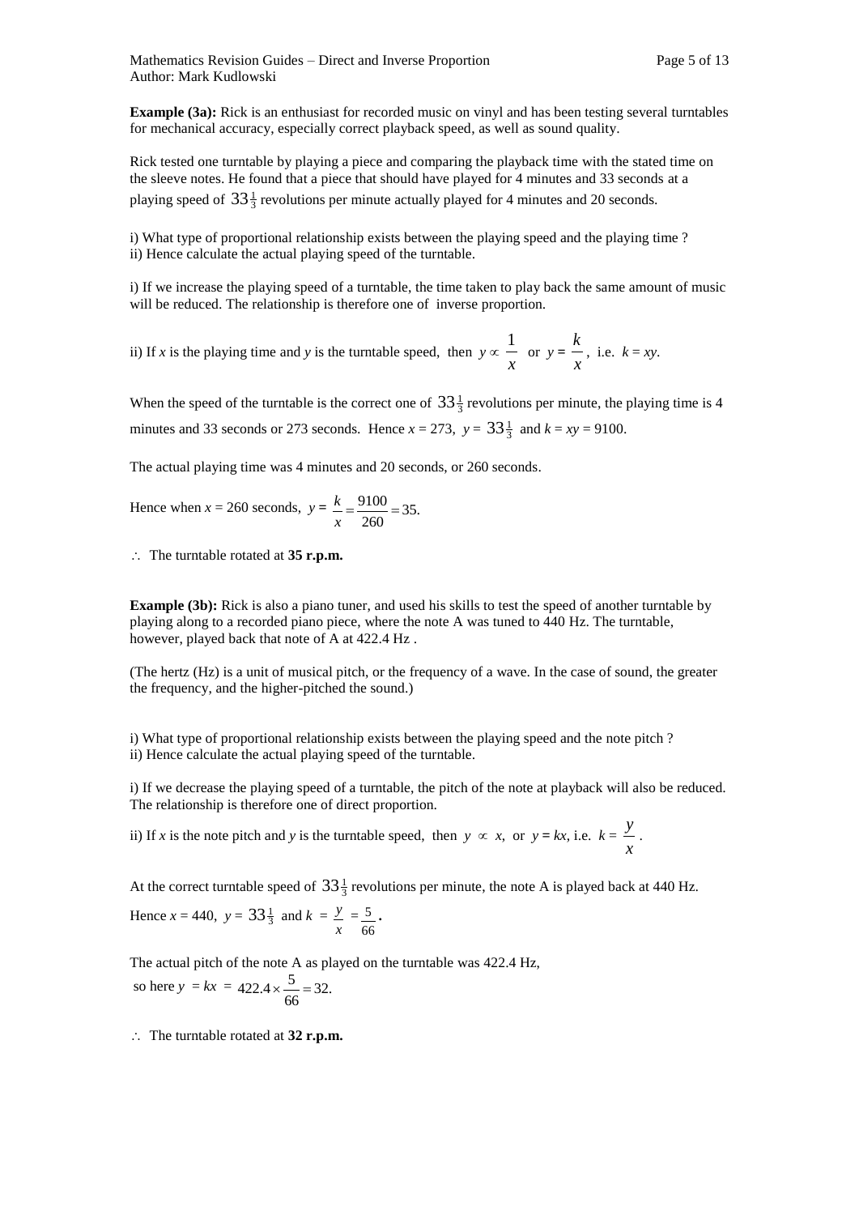**Example (3a):** Rick is an enthusiast for recorded music on vinyl and has been testing several turntables for mechanical accuracy, especially correct playback speed, as well as sound quality.

Rick tested one turntable by playing a piece and comparing the playback time with the stated time on the sleeve notes. He found that a piece that should have played for 4 minutes and 33 seconds at a playing speed of  $33\frac{1}{3}$  revolutions per minute actually played for 4 minutes and 20 seconds.

i) What type of proportional relationship exists between the playing speed and the playing time ? ii) Hence calculate the actual playing speed of the turntable.

i) If we increase the playing speed of a turntable, the time taken to play back the same amount of music will be reduced. The relationship is therefore one of inverse proportion.

ii) If *x* is the playing time and *y* is the turntable speed, then  $y \propto$ *x*  $\frac{1}{x}$  or  $y =$ *x*  $\frac{k}{k}$ , i.e.  $k = xy$ .

When the speed of the turntable is the correct one of  $33\frac{1}{3}$  revolutions per minute, the playing time is 4 minutes and 33 seconds or 273 seconds. Hence  $x = 273$ ,  $y = 33\frac{1}{3}$  and  $k = xy = 9100$ .

The actual playing time was 4 minutes and 20 seconds, or 260 seconds.

Hence when  $x = 260$  seconds,  $y = \frac{k}{x} = \frac{9100}{260} = 35$ .  $=\frac{9100}{240}$ *x k*

∴ The turntable rotated at **35 r.p.m.** 

**Example (3b):** Rick is also a piano tuner, and used his skills to test the speed of another turntable by playing along to a recorded piano piece, where the note A was tuned to 440 Hz. The turntable, however, played back that note of A at 422.4 Hz .

(The hertz (Hz) is a unit of musical pitch, or the frequency of a wave. In the case of sound, the greater the frequency, and the higher-pitched the sound.)

i) What type of proportional relationship exists between the playing speed and the note pitch ? ii) Hence calculate the actual playing speed of the turntable.

i) If we decrease the playing speed of a turntable, the pitch of the note at playback will also be reduced. The relationship is therefore one of direct proportion.

ii) If *x* is the note pitch and *y* is the turntable speed, then  $y \propto x$ , or  $y = kx$ , i.e.  $k =$ *x y* .

At the correct turntable speed of  $33\frac{1}{3}$  revolutions per minute, the note A is played back at 440 Hz.

Hence 
$$
x = 440
$$
,  $y = 33\frac{1}{3}$  and  $k = \frac{y}{x} = \frac{5}{66}$ .

The actual pitch of the note A as played on the turntable was 422.4 Hz, so here  $y = kx = 422.4 \times \frac{3}{66} = 32.$  $422.4 \times \frac{5}{11} =$ 

The turntable rotated at **32 r.p.m.**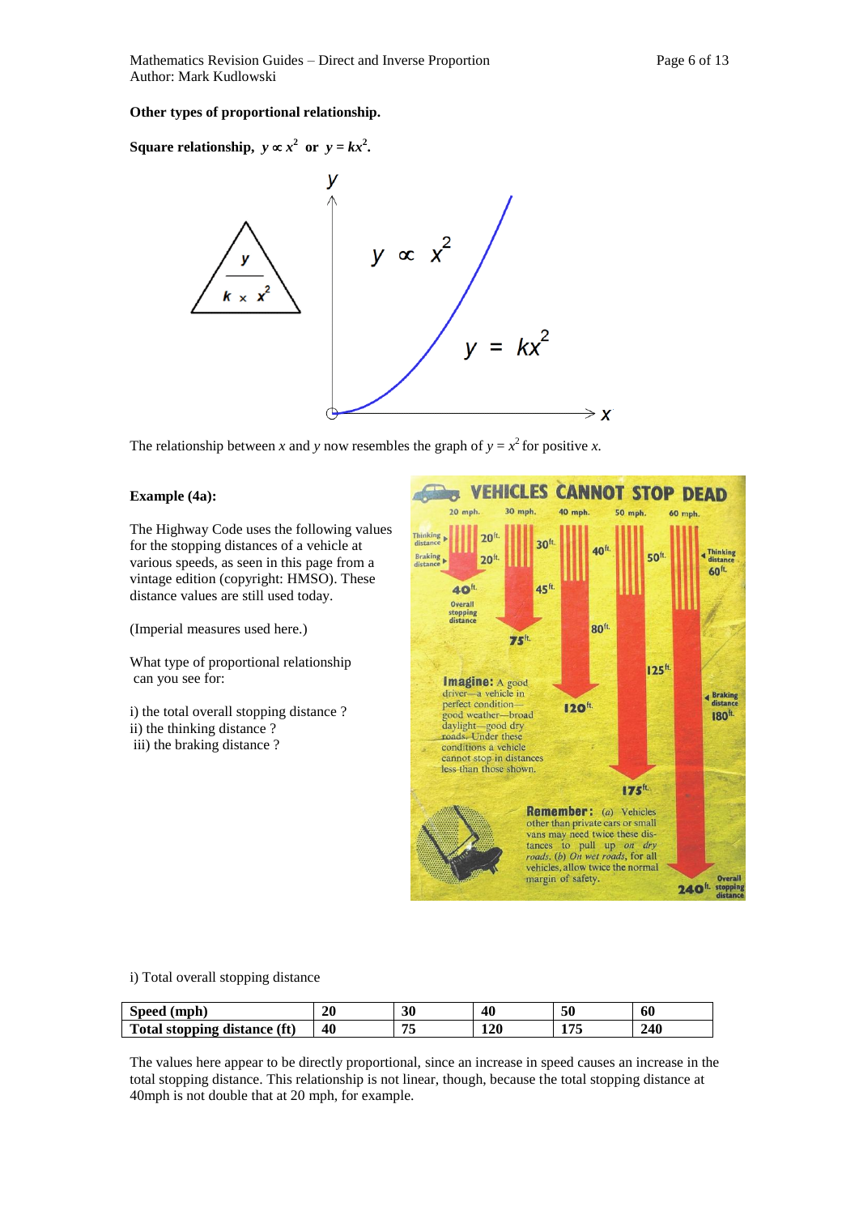#### **Other types of proportional relationship.**

**Square relationship,**  $y \propto x^2$  or  $y = kx^2$ .



The relationship between *x* and *y* now resembles the graph of  $y = x^2$  for positive *x*.

#### **Example (4a):**

The Highway Code uses the following values for the stopping distances of a vehicle at various speeds, as seen in this page from a vintage edition (copyright: HMSO). These distance values are still used today.

(Imperial measures used here.)

What type of proportional relationship can you see for:

i) the total overall stopping distance ? ii) the thinking distance ? iii) the braking distance ?



i) Total overall stopping distance

| Speed (mph)                  | 20 | 30                  | 40  | 50    | 60  |
|------------------------------|----|---------------------|-----|-------|-----|
| Total stopping distance (ft) | 40 | $\overline{ }$<br>ູ | 120 | 1 H E | 240 |

The values here appear to be directly proportional, since an increase in speed causes an increase in the total stopping distance. This relationship is not linear, though, because the total stopping distance at 40mph is not double that at 20 mph, for example.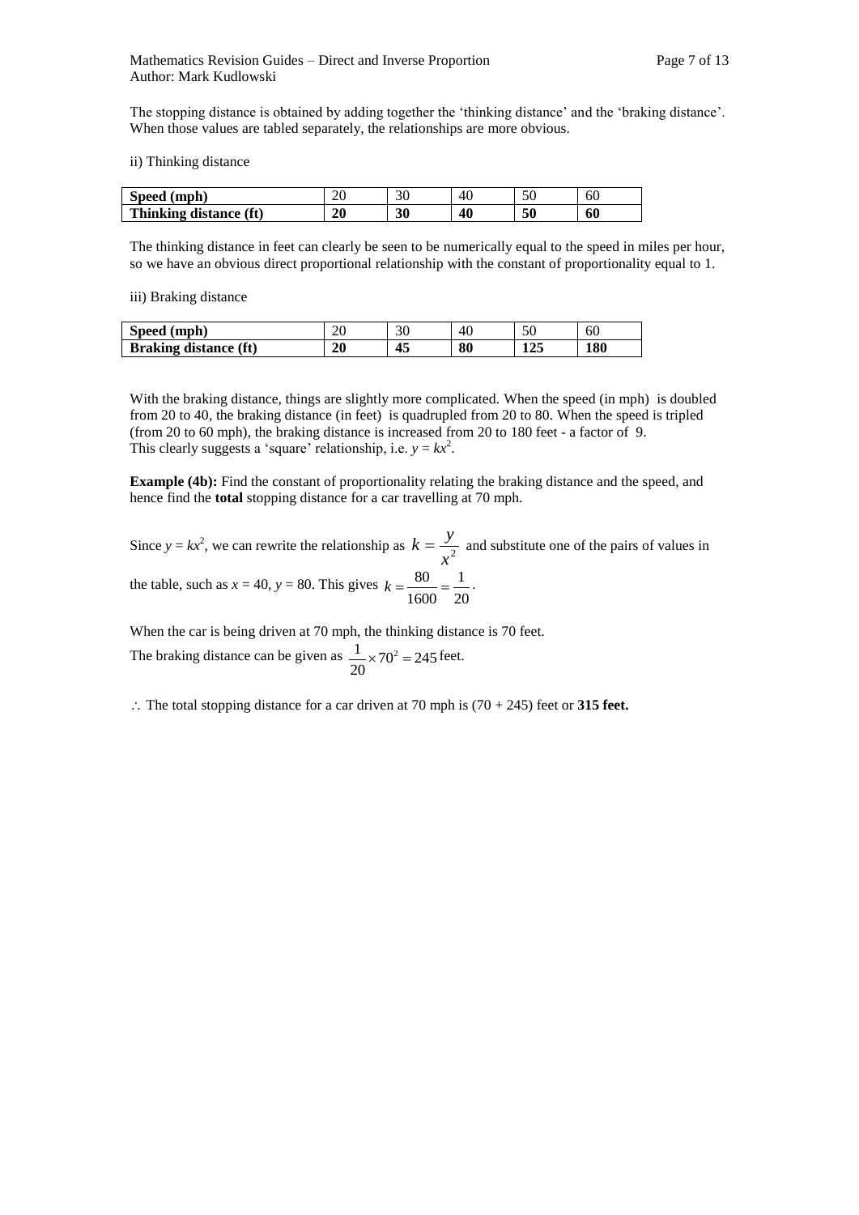The stopping distance is obtained by adding together the 'thinking distance' and the 'braking distance'. When those values are tabled separately, the relationships are more obvious.

ii) Thinking distance

| (mph)<br>Speed         | oc<br>ZU | oc | 41<br>۰. | $\epsilon$<br>οU | οU |
|------------------------|----------|----|----------|------------------|----|
| Thinking distance (ft) | 20       | 30 | 40       | 50               | 60 |

The thinking distance in feet can clearly be seen to be numerically equal to the speed in miles per hour, so we have an obvious direct proportional relationship with the constant of proportionality equal to 1.

iii) Braking distance

| Speed (mph)                  | 2τ | 31 | 40 | 50         | 60  |
|------------------------------|----|----|----|------------|-----|
| <b>Braking distance (ft)</b> | 20 | 43 | 80 | 175<br>143 | 180 |

With the braking distance, things are slightly more complicated. When the speed (in mph) is doubled from 20 to 40, the braking distance (in feet) is quadrupled from 20 to 80. When the speed is tripled (from 20 to 60 mph), the braking distance is increased from 20 to 180 feet - a factor of 9. This clearly suggests a 'square' relationship, i.e.  $y = kx^2$ .

**Example (4b):** Find the constant of proportionality relating the braking distance and the speed, and hence find the **total** stopping distance for a car travelling at 70 mph.

Since  $y = kx^2$ , we can rewrite the relationship as  $k = \frac{y}{x^2}$  $k = \frac{y}{z^2}$  and substitute one of the pairs of values in the table, such as  $x = 40$ ,  $y = 80$ . This gives 20 1 1600  $k = \frac{80}{1000} = \frac{1}{100}$ .

When the car is being driven at 70 mph, the thinking distance is 70 feet.

The braking distance can be given as  $\frac{1}{20} \times 70^2 = 245$ 20  $\frac{1}{2} \times 70^2 = 245$  feet.

 $\therefore$  The total stopping distance for a car driven at 70 mph is (70 + 245) feet or **315 feet.**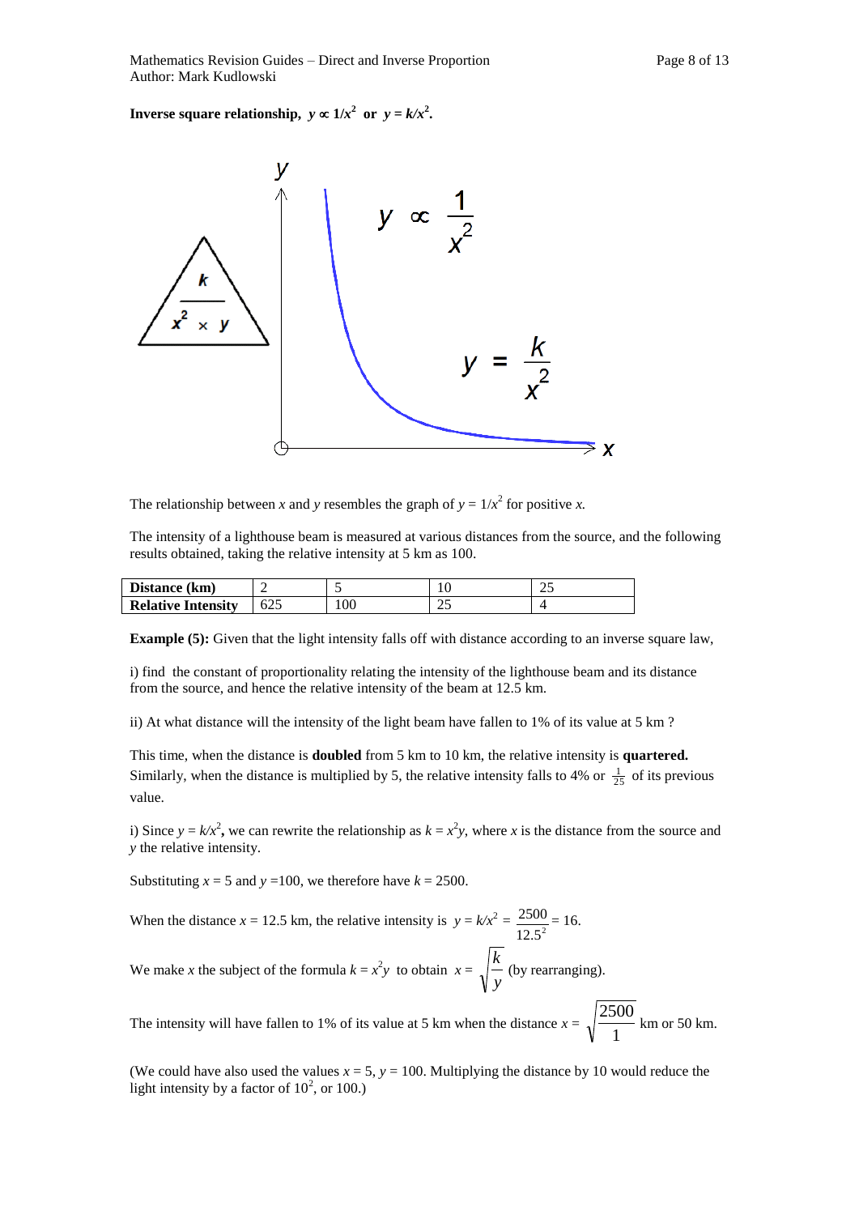**Inverse square relationship,**  $y \propto 1/x^2$  or  $y = k/x^2$ .



The relationship between *x* and *y* resembles the graph of  $y = 1/x^2$  for positive *x*.

The intensity of a lighthouse beam is measured at various distances from the source, and the following results obtained, taking the relative intensity at 5 km as 100.

| Distance (km)             | -   |     | ΙV          | ت |
|---------------------------|-----|-----|-------------|---|
| <b>Relative Intensity</b> | 025 | 100 | $\sim$<br>ت |   |

**Example (5):** Given that the light intensity falls off with distance according to an inverse square law,

i) find the constant of proportionality relating the intensity of the lighthouse beam and its distance from the source, and hence the relative intensity of the beam at 12.5 km.

ii) At what distance will the intensity of the light beam have fallen to 1% of its value at 5 km ?

This time, when the distance is **doubled** from 5 km to 10 km, the relative intensity is **quartered.**  Similarly, when the distance is multiplied by 5, the relative intensity falls to 4% or  $\frac{1}{25}$  of its previous value.

i) Since  $y = k/x^2$ , we can rewrite the relationship as  $k = x^2y$ , where *x* is the distance from the source and *y* the relative intensity.

Substituting  $x = 5$  and  $y = 100$ , we therefore have  $k = 2500$ .

When the distance  $x = 12.5$  km, the relative intensity is  $y = k/x^2$  $12.5^2$  $\frac{2500}{1}$  = 16. We make *x* the subject of the formula  $k = x^2y$  to obtain  $x = \sqrt{\frac{k}{y}}$ *k* (by rearranging).

The intensity will have fallen to 1% of its value at 5 km when the distance  $x = \sqrt{\frac{2}{1}}$  $\frac{2500}{1}$  km or 50 km.

(We could have also used the values  $x = 5$ ,  $y = 100$ . Multiplying the distance by 10 would reduce the light intensity by a factor of  $10^2$ , or 100.)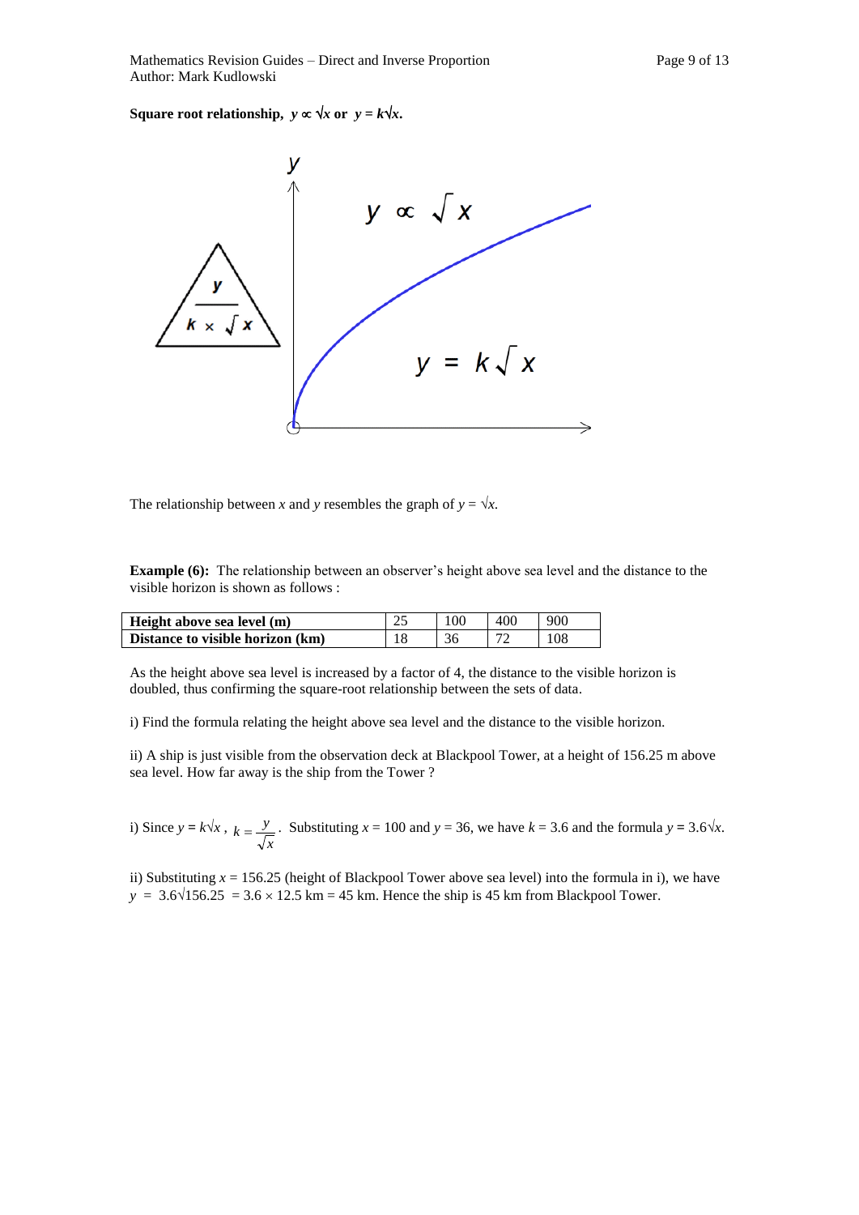**Square root relationship,**  $y \propto \sqrt{x}$  or  $y = k\sqrt{x}$ .



The relationship between *x* and *y* resembles the graph of  $y = \sqrt{x}$ .

**Example (6):** The relationship between an observer's height above sea level and the distance to the visible horizon is shown as follows :

| Height above sea level (m)       | 25 | 100 | 400 | 900 |
|----------------------------------|----|-----|-----|-----|
| Distance to visible horizon (km) |    | 36  |     | 108 |

As the height above sea level is increased by a factor of 4, the distance to the visible horizon is doubled, thus confirming the square-root relationship between the sets of data.

i) Find the formula relating the height above sea level and the distance to the visible horizon.

ii) A ship is just visible from the observation deck at Blackpool Tower, at a height of 156.25 m above sea level. How far away is the ship from the Tower ?

i) Since  $y = k\sqrt{x}$ , *x*  $k = \frac{y}{\sqrt{y}}$ . Substituting  $x = 100$  and  $y = 36$ , we have  $k = 3.6$  and the formula  $y = 3.6\sqrt{x}$ .

ii) Substituting  $x = 156.25$  (height of Blackpool Tower above sea level) into the formula in i), we have  $y = 3.6\sqrt{156.25} = 3.6 \times 12.5$  km = 45 km. Hence the ship is 45 km from Blackpool Tower.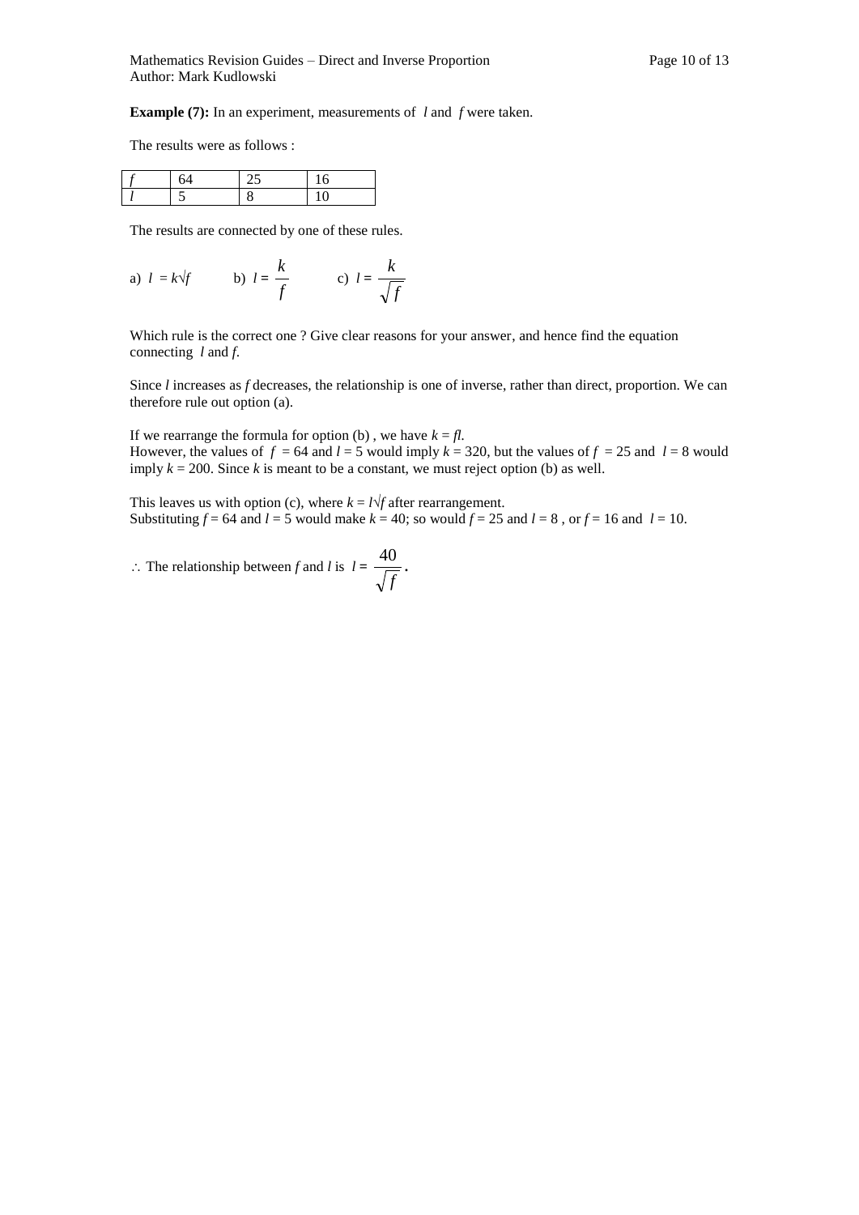**Example (7):** In an experiment, measurements of *l* and *f* were taken.

The results were as follows :

The results are connected by one of these rules.

a) 
$$
l = k\sqrt{f}
$$
 b)  $l = \frac{k}{f}$  c)  $l = \frac{k}{\sqrt{f}}$ 

Which rule is the correct one ? Give clear reasons for your answer, and hence find the equation connecting *l* and *f*.

Since *l* increases as *f* decreases, the relationship is one of inverse, rather than direct, proportion. We can therefore rule out option (a).

If we rearrange the formula for option (b), we have  $k = fl$ . However, the values of  $f = 64$  and  $l = 5$  would imply  $k = 320$ , but the values of  $f = 25$  and  $l = 8$  would imply  $k = 200$ . Since k is meant to be a constant, we must reject option (b) as well.

This leaves us with option (c), where  $k = l\sqrt{t}$  after rearrangement. Substituting  $f = 64$  and  $l = 5$  would make  $k = 40$ ; so would  $f = 25$  and  $l = 8$ , or  $f = 16$  and  $l = 10$ .

 $\therefore$  The relationship between *f* and *l* is  $l =$ *f*  $\frac{40}{\sqrt{ }}$ .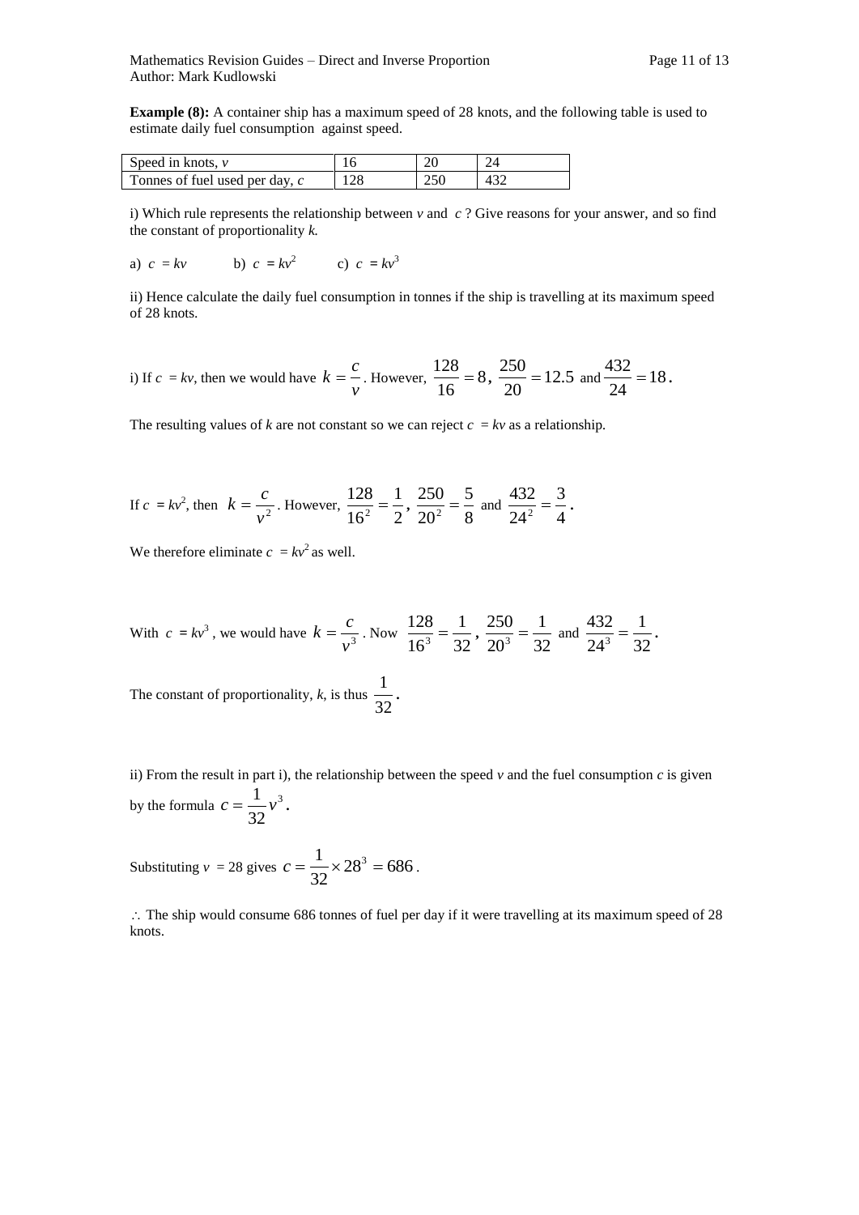**Example (8):** A container ship has a maximum speed of 28 knots, and the following table is used to estimate daily fuel consumption against speed.

| Speed in knots, $\nu$          |     |     |  |
|--------------------------------|-----|-----|--|
| Tonnes of fuel used per day, c | 128 | 250 |  |

i) Which rule represents the relationship between  $\nu$  and  $c$ ? Give reasons for your answer, and so find the constant of proportionality *k.* 

a) 
$$
c = kv
$$
 b)  $c = kv^2$  c)  $c = kv^3$ 

ii) Hence calculate the daily fuel consumption in tonnes if the ship is travelling at its maximum speed of 28 knots.

i) If 
$$
c = kv
$$
, then we would have  $k = \frac{c}{v}$ . However,  $\frac{128}{16} = 8$ ,  $\frac{250}{20} = 12.5$  and  $\frac{432}{24} = 18$ .

The resulting values of *k* are not constant so we can reject  $c = kv$  as a relationship.

If 
$$
c = kv^2
$$
, then  $k = \frac{c}{v^2}$ . However,  $\frac{128}{16^2} = \frac{1}{2}$ ,  $\frac{250}{20^2} = \frac{5}{8}$  and  $\frac{432}{24^2} = \frac{3}{4}$ .

We therefore eliminate  $c = kv^2$  as well.

With 
$$
c = kv^3
$$
, we would have  $k = \frac{c}{v^3}$ . Now  $\frac{128}{16^3} = \frac{1}{32}$ ,  $\frac{250}{20^3} = \frac{1}{32}$  and  $\frac{432}{24^3} = \frac{1}{32}$ .  
The constant of proportionality, *k*, is thus  $\frac{1}{32}$ .

ii) From the result in part i), the relationship between the speed  $\nu$  and the fuel consumption  $c$  is given by the formula  $c = \frac{1}{\sqrt{2}}v^3$ 32  $c = \frac{1}{2} v^3$ .

Substituting  $v = 28$  gives  $c = \frac{1}{28} \times 28^3 = 686$ 32  $c = \frac{1}{25} \times 28^3 = 686$ .

 $\therefore$  The ship would consume 686 tonnes of fuel per day if it were travelling at its maximum speed of 28 knots.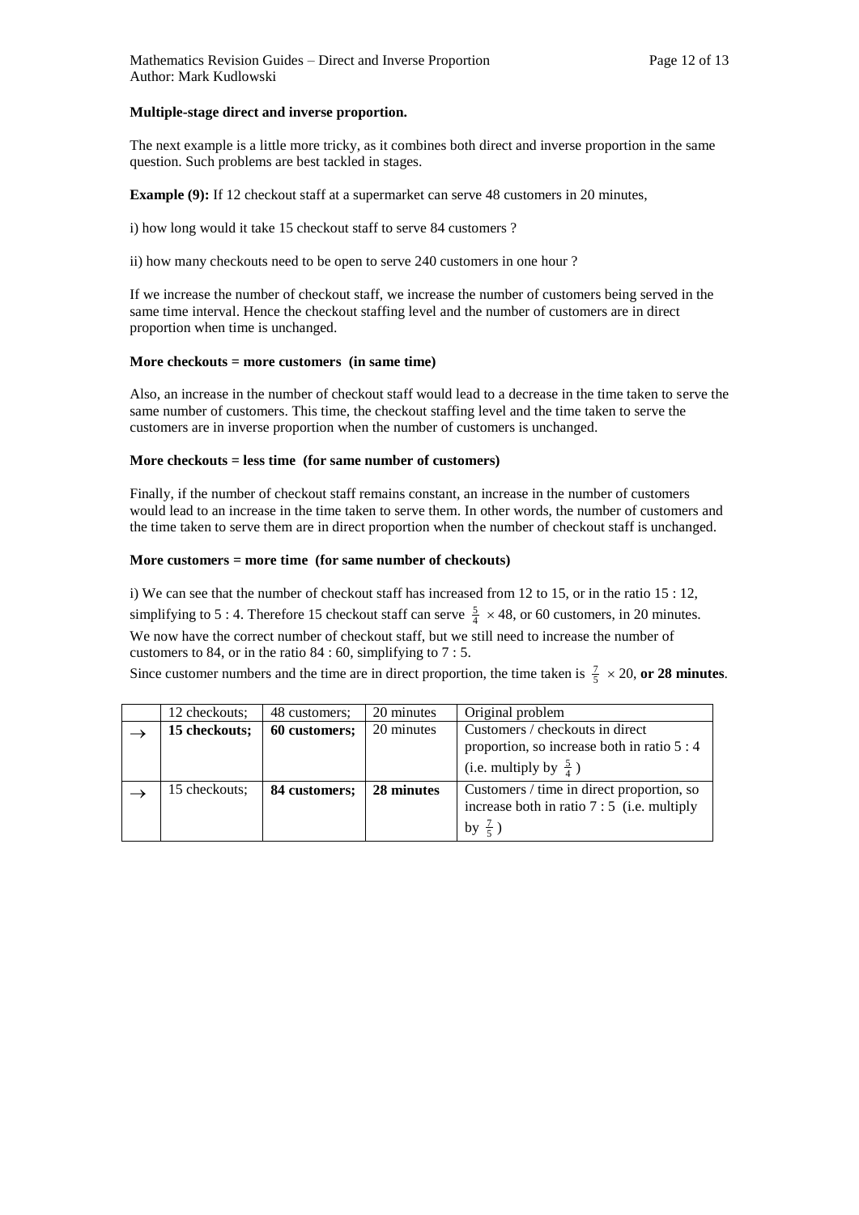#### **Multiple-stage direct and inverse proportion.**

The next example is a little more tricky, as it combines both direct and inverse proportion in the same question. Such problems are best tackled in stages.

**Example (9):** If 12 checkout staff at a supermarket can serve 48 customers in 20 minutes,

i) how long would it take 15 checkout staff to serve 84 customers ?

ii) how many checkouts need to be open to serve 240 customers in one hour ?

If we increase the number of checkout staff, we increase the number of customers being served in the same time interval. Hence the checkout staffing level and the number of customers are in direct proportion when time is unchanged.

#### **More checkouts = more customers (in same time)**

Also, an increase in the number of checkout staff would lead to a decrease in the time taken to serve the same number of customers. This time, the checkout staffing level and the time taken to serve the customers are in inverse proportion when the number of customers is unchanged.

#### **More checkouts = less time (for same number of customers)**

Finally, if the number of checkout staff remains constant, an increase in the number of customers would lead to an increase in the time taken to serve them. In other words, the number of customers and the time taken to serve them are in direct proportion when the number of checkout staff is unchanged.

#### **More customers = more time (for same number of checkouts)**

i) We can see that the number of checkout staff has increased from 12 to 15, or in the ratio 15 : 12, simplifying to 5 : 4. Therefore 15 checkout staff can serve  $\frac{5}{4} \times 48$ , or 60 customers, in 20 minutes. We now have the correct number of checkout staff, but we still need to increase the number of customers to 84, or in the ratio 84 : 60, simplifying to 7 : 5.

Since customer numbers and the time are in direct proportion, the time taken is  $\frac{7}{5} \times 20$ , or 28 minutes.

| 12 checkouts: | 48 customers: | 20 minutes | Original problem                                                                                                    |
|---------------|---------------|------------|---------------------------------------------------------------------------------------------------------------------|
| 15 checkouts; | 60 customers; | 20 minutes | Customers / checkouts in direct<br>proportion, so increase both in ratio 5 : 4<br>(i.e. multiply by $\frac{5}{4}$ ) |
| 15 checkouts: | 84 customers; | 28 minutes | Customers / time in direct proportion, so<br>increase both in ratio $7:5$ (i.e. multiply<br>by $\frac{7}{5}$ )      |